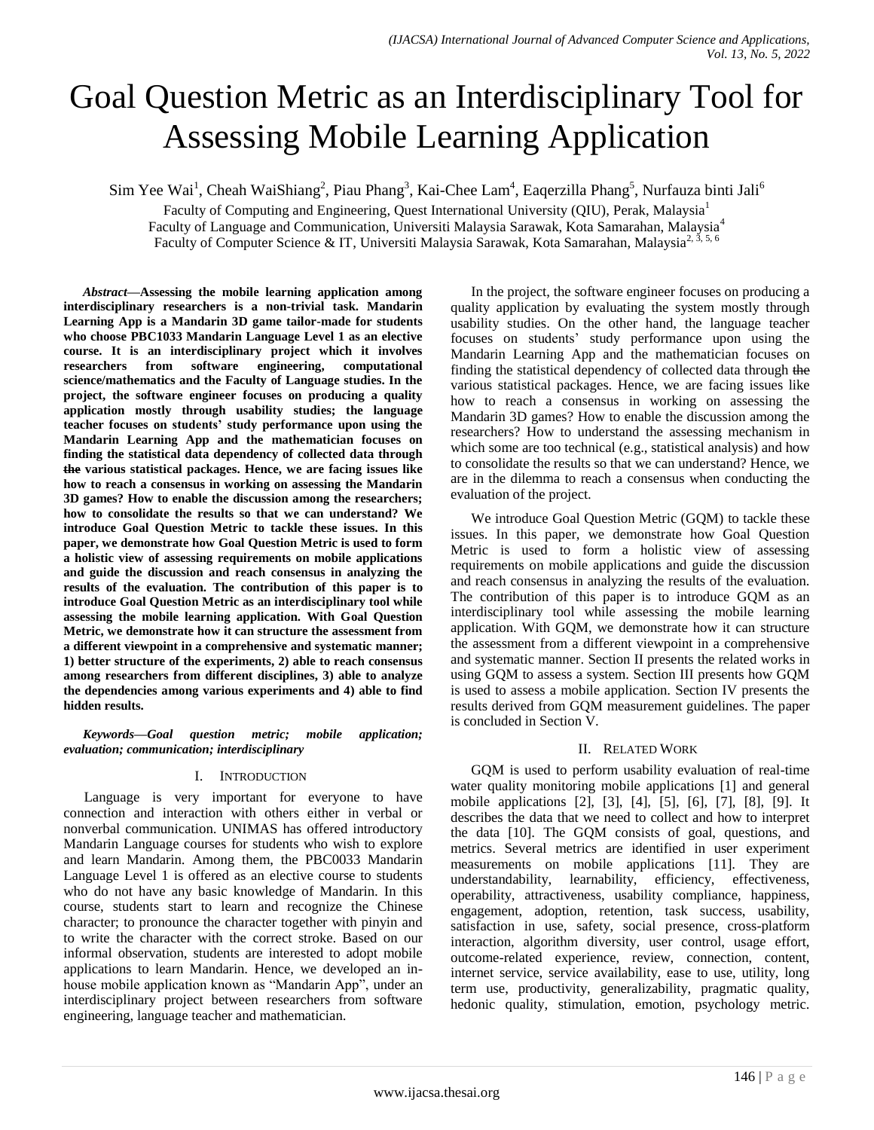# Goal Question Metric as an Interdisciplinary Tool for Assessing Mobile Learning Application

Sim Yee Wai<sup>1</sup>, Cheah WaiShiang<sup>2</sup>, Piau Phang<sup>3</sup>, Kai-Chee Lam<sup>4</sup>, Eaqerzilla Phang<sup>5</sup>, Nurfauza binti Jali<sup>6</sup>

Faculty of Computing and Engineering, Quest International University (QIU), Perak, Malaysia<sup>1</sup> Faculty of Language and Communication, Universiti Malaysia Sarawak, Kota Samarahan, Malaysia<sup>4</sup> Faculty of Computer Science & IT, Universiti Malaysia Sarawak, Kota Samarahan, Malaysia<sup>2, 3, 5, 6</sup>

*Abstract***—Assessing the mobile learning application among interdisciplinary researchers is a non-trivial task. Mandarin Learning App is a Mandarin 3D game tailor-made for students who choose PBC1033 Mandarin Language Level 1 as an elective course. It is an interdisciplinary project which it involves researchers from software engineering, computational science/mathematics and the Faculty of Language studies. In the project, the software engineer focuses on producing a quality application mostly through usability studies; the language teacher focuses on students' study performance upon using the Mandarin Learning App and the mathematician focuses on finding the statistical data dependency of collected data through the various statistical packages. Hence, we are facing issues like how to reach a consensus in working on assessing the Mandarin 3D games? How to enable the discussion among the researchers; how to consolidate the results so that we can understand? We introduce Goal Question Metric to tackle these issues. In this paper, we demonstrate how Goal Question Metric is used to form a holistic view of assessing requirements on mobile applications and guide the discussion and reach consensus in analyzing the results of the evaluation. The contribution of this paper is to introduce Goal Question Metric as an interdisciplinary tool while assessing the mobile learning application. With Goal Question Metric, we demonstrate how it can structure the assessment from a different viewpoint in a comprehensive and systematic manner; 1) better structure of the experiments, 2) able to reach consensus among researchers from different disciplines, 3) able to analyze the dependencies among various experiments and 4) able to find hidden results.**

*Keywords—Goal question metric; mobile application; evaluation; communication; interdisciplinary*

## I. INTRODUCTION

Language is very important for everyone to have connection and interaction with others either in verbal or nonverbal communication. UNIMAS has offered introductory Mandarin Language courses for students who wish to explore and learn Mandarin. Among them, the PBC0033 Mandarin Language Level 1 is offered as an elective course to students who do not have any basic knowledge of Mandarin. In this course, students start to learn and recognize the Chinese character; to pronounce the character together with pinyin and to write the character with the correct stroke. Based on our informal observation, students are interested to adopt mobile applications to learn Mandarin. Hence, we developed an inhouse mobile application known as "Mandarin App", under an interdisciplinary project between researchers from software engineering, language teacher and mathematician.

In the project, the software engineer focuses on producing a quality application by evaluating the system mostly through usability studies. On the other hand, the language teacher focuses on students" study performance upon using the Mandarin Learning App and the mathematician focuses on finding the statistical dependency of collected data through the various statistical packages. Hence, we are facing issues like how to reach a consensus in working on assessing the Mandarin 3D games? How to enable the discussion among the researchers? How to understand the assessing mechanism in which some are too technical (e.g., statistical analysis) and how to consolidate the results so that we can understand? Hence, we are in the dilemma to reach a consensus when conducting the evaluation of the project.

We introduce Goal Question Metric (GQM) to tackle these issues. In this paper, we demonstrate how Goal Question Metric is used to form a holistic view of assessing requirements on mobile applications and guide the discussion and reach consensus in analyzing the results of the evaluation. The contribution of this paper is to introduce GQM as an interdisciplinary tool while assessing the mobile learning application. With GQM, we demonstrate how it can structure the assessment from a different viewpoint in a comprehensive and systematic manner. Section II presents the related works in using GQM to assess a system. Section III presents how GQM is used to assess a mobile application. Section IV presents the results derived from GQM measurement guidelines. The paper is concluded in Section V.

# II. RELATED WORK

GQM is used to perform usability evaluation of real-time water quality monitoring mobile applications [1] and general mobile applications [2], [3], [4], [5], [6], [7], [8], [9]. It describes the data that we need to collect and how to interpret the data [10]. The GQM consists of goal, questions, and metrics. Several metrics are identified in user experiment measurements on mobile applications [11]. They are understandability, learnability, efficiency, effectiveness, operability, attractiveness, usability compliance, happiness, engagement, adoption, retention, task success, usability, satisfaction in use, safety, social presence, cross-platform interaction, algorithm diversity, user control, usage effort, outcome-related experience, review, connection, content, internet service, service availability, ease to use, utility, long term use, productivity, generalizability, pragmatic quality, hedonic quality, stimulation, emotion, psychology metric.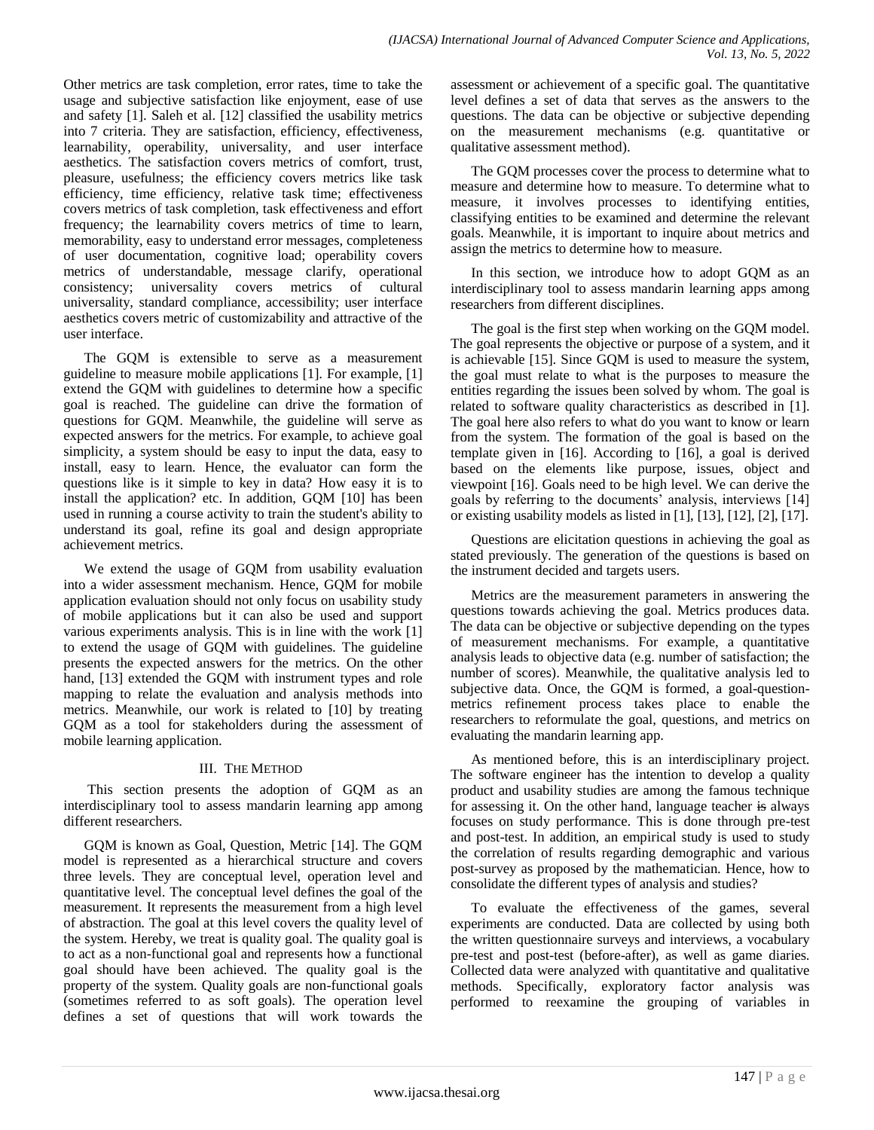Other metrics are task completion, error rates, time to take the usage and subjective satisfaction like enjoyment, ease of use and safety [1]. Saleh et al. [12] classified the usability metrics into 7 criteria. They are satisfaction, efficiency, effectiveness, learnability, operability, universality, and user interface aesthetics. The satisfaction covers metrics of comfort, trust, pleasure, usefulness; the efficiency covers metrics like task efficiency, time efficiency, relative task time; effectiveness covers metrics of task completion, task effectiveness and effort frequency; the learnability covers metrics of time to learn, memorability, easy to understand error messages, completeness of user documentation, cognitive load; operability covers metrics of understandable, message clarify, operational consistency; universality covers metrics of cultural universality, standard compliance, accessibility; user interface aesthetics covers metric of customizability and attractive of the user interface.

The GQM is extensible to serve as a measurement guideline to measure mobile applications [1]. For example, [1] extend the GQM with guidelines to determine how a specific goal is reached. The guideline can drive the formation of questions for GQM. Meanwhile, the guideline will serve as expected answers for the metrics. For example, to achieve goal simplicity, a system should be easy to input the data, easy to install, easy to learn. Hence, the evaluator can form the questions like is it simple to key in data? How easy it is to install the application? etc. In addition, GQM [10] has been used in running a course activity to train the student's ability to understand its goal, refine its goal and design appropriate achievement metrics.

We extend the usage of GQM from usability evaluation into a wider assessment mechanism. Hence, GQM for mobile application evaluation should not only focus on usability study of mobile applications but it can also be used and support various experiments analysis. This is in line with the work [1] to extend the usage of GQM with guidelines. The guideline presents the expected answers for the metrics. On the other hand, [13] extended the GQM with instrument types and role mapping to relate the evaluation and analysis methods into metrics. Meanwhile, our work is related to [10] by treating GQM as a tool for stakeholders during the assessment of mobile learning application.

# III. THE METHOD

This section presents the adoption of GQM as an interdisciplinary tool to assess mandarin learning app among different researchers.

GQM is known as Goal, Question, Metric [14]. The GQM model is represented as a hierarchical structure and covers three levels. They are conceptual level, operation level and quantitative level. The conceptual level defines the goal of the measurement. It represents the measurement from a high level of abstraction. The goal at this level covers the quality level of the system. Hereby, we treat is quality goal. The quality goal is to act as a non-functional goal and represents how a functional goal should have been achieved. The quality goal is the property of the system. Quality goals are non-functional goals (sometimes referred to as soft goals). The operation level defines a set of questions that will work towards the assessment or achievement of a specific goal. The quantitative level defines a set of data that serves as the answers to the questions. The data can be objective or subjective depending on the measurement mechanisms (e.g. quantitative or qualitative assessment method).

The GQM processes cover the process to determine what to measure and determine how to measure. To determine what to measure, it involves processes to identifying entities, classifying entities to be examined and determine the relevant goals. Meanwhile, it is important to inquire about metrics and assign the metrics to determine how to measure.

In this section, we introduce how to adopt GQM as an interdisciplinary tool to assess mandarin learning apps among researchers from different disciplines.

The goal is the first step when working on the GQM model. The goal represents the objective or purpose of a system, and it is achievable [15]. Since GQM is used to measure the system, the goal must relate to what is the purposes to measure the entities regarding the issues been solved by whom. The goal is related to software quality characteristics as described in [1]. The goal here also refers to what do you want to know or learn from the system. The formation of the goal is based on the template given in [16]. According to [16], a goal is derived based on the elements like purpose, issues, object and viewpoint [16]. Goals need to be high level. We can derive the goals by referring to the documents' analysis, interviews [14] or existing usability models as listed in [1], [13], [12], [2], [17].

Questions are elicitation questions in achieving the goal as stated previously. The generation of the questions is based on the instrument decided and targets users.

Metrics are the measurement parameters in answering the questions towards achieving the goal. Metrics produces data. The data can be objective or subjective depending on the types of measurement mechanisms. For example, a quantitative analysis leads to objective data (e.g. number of satisfaction; the number of scores). Meanwhile, the qualitative analysis led to subjective data. Once, the GQM is formed, a goal-questionmetrics refinement process takes place to enable the researchers to reformulate the goal, questions, and metrics on evaluating the mandarin learning app.

As mentioned before, this is an interdisciplinary project. The software engineer has the intention to develop a quality product and usability studies are among the famous technique for assessing it. On the other hand, language teacher is always focuses on study performance. This is done through pre-test and post-test. In addition, an empirical study is used to study the correlation of results regarding demographic and various post-survey as proposed by the mathematician. Hence, how to consolidate the different types of analysis and studies?

To evaluate the effectiveness of the games, several experiments are conducted. Data are collected by using both the written questionnaire surveys and interviews, a vocabulary pre-test and post-test (before-after), as well as game diaries. Collected data were analyzed with quantitative and qualitative methods. Specifically, exploratory factor analysis was performed to reexamine the grouping of variables in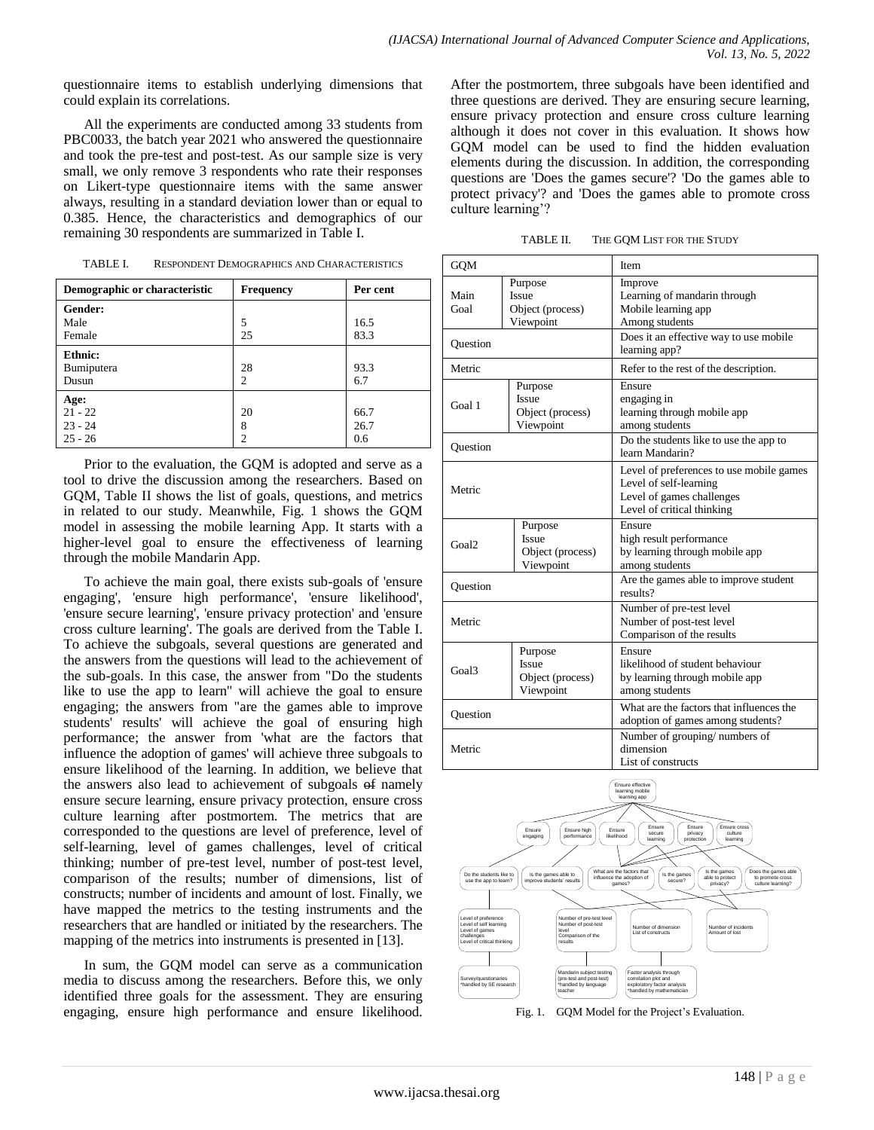questionnaire items to establish underlying dimensions that could explain its correlations.

All the experiments are conducted among 33 students from PBC0033, the batch year 2021 who answered the questionnaire and took the pre-test and post-test. As our sample size is very small, we only remove 3 respondents who rate their responses on Likert-type questionnaire items with the same answer always, resulting in a standard deviation lower than or equal to 0.385. Hence, the characteristics and demographics of our remaining 30 respondents are summarized in Table I.

| Demographic or characteristic               | <b>Frequency</b>          | Per cent            |
|---------------------------------------------|---------------------------|---------------------|
| Gender:<br>Male<br>Female                   | 5<br>25                   | 16.5<br>83.3        |
| Ethnic:<br><b>Bumiputera</b><br>Dusun       | 28<br>$\mathfrak{D}$      | 93.3<br>6.7         |
| Age:<br>$21 - 22$<br>$23 - 24$<br>$25 - 26$ | 20<br>8<br>$\mathfrak{D}$ | 66.7<br>26.7<br>0.6 |

TABLE I. RESPONDENT DEMOGRAPHICS AND CHARACTERISTICS

Prior to the evaluation, the GQM is adopted and serve as a tool to drive the discussion among the researchers. Based on GQM, Table II shows the list of goals, questions, and metrics in related to our study. Meanwhile, Fig. 1 shows the GQM model in assessing the mobile learning App. It starts with a higher-level goal to ensure the effectiveness of learning through the mobile Mandarin App.

To achieve the main goal, there exists sub-goals of 'ensure engaging', 'ensure high performance', 'ensure likelihood', 'ensure secure learning', 'ensure privacy protection' and 'ensure cross culture learning'. The goals are derived from the Table I. To achieve the subgoals, several questions are generated and the answers from the questions will lead to the achievement of the sub-goals. In this case, the answer from "Do the students like to use the app to learn" will achieve the goal to ensure engaging; the answers from "are the games able to improve students' results' will achieve the goal of ensuring high performance; the answer from 'what are the factors that influence the adoption of games' will achieve three subgoals to ensure likelihood of the learning. In addition, we believe that the answers also lead to achievement of subgoals of namely ensure secure learning, ensure privacy protection, ensure cross culture learning after postmortem. The metrics that are corresponded to the questions are level of preference, level of self-learning, level of games challenges, level of critical thinking; number of pre-test level, number of post-test level, comparison of the results; number of dimensions, list of constructs; number of incidents and amount of lost. Finally, we have mapped the metrics to the testing instruments and the researchers that are handled or initiated by the researchers. The mapping of the metrics into instruments is presented in [13].

In sum, the GQM model can serve as a communication media to discuss among the researchers. Before this, we only identified three goals for the assessment. They are ensuring engaging, ensure high performance and ensure likelihood.

After the postmortem, three subgoals have been identified and three questions are derived. They are ensuring secure learning, ensure privacy protection and ensure cross culture learning although it does not cover in this evaluation. It shows how GQM model can be used to find the hidden evaluation elements during the discussion. In addition, the corresponding questions are 'Does the games secure'? 'Do the games able to protect privacy'? and 'Does the games able to promote cross culture learning"?

TABLE II. THE GQM LIST FOR THE STUDY

| <b>GQM</b>        |                                                          | Item                                                                                                                          |  |
|-------------------|----------------------------------------------------------|-------------------------------------------------------------------------------------------------------------------------------|--|
| Main<br>Goal      | Purpose<br>Issue<br>Object (process)<br>Viewpoint        | Improve<br>Learning of mandarin through<br>Mobile learning app<br>Among students                                              |  |
| Question          |                                                          | Does it an effective way to use mobile<br>learning app?                                                                       |  |
| Metric            |                                                          | Refer to the rest of the description.                                                                                         |  |
| Goal 1            | Purpose<br>Issue<br>Object (process)<br>Viewpoint        | Ensure<br>engaging in<br>learning through mobile app<br>among students                                                        |  |
| <b>Ouestion</b>   |                                                          | Do the students like to use the app to<br>learn Mandarin?                                                                     |  |
| Metric            |                                                          | Level of preferences to use mobile games<br>Level of self-learning<br>Level of games challenges<br>Level of critical thinking |  |
| Goal <sub>2</sub> | Purpose<br>Issue<br>Object (process)<br>Viewpoint        | Ensure<br>high result performance<br>by learning through mobile app<br>among students                                         |  |
| Question          |                                                          | Are the games able to improve student<br>results?                                                                             |  |
| Metric            |                                                          | Number of pre-test level<br>Number of post-test level<br>Comparison of the results                                            |  |
| Goal3             | Purpose<br><b>Issue</b><br>Object (process)<br>Viewpoint | Ensure<br>likelihood of student behaviour<br>by learning through mobile app<br>among students                                 |  |
| Question          |                                                          | What are the factors that influences the<br>adoption of games among students?                                                 |  |
| Metric            |                                                          | Number of grouping/numbers of<br>dimension<br>List of constructs                                                              |  |



Fig. 1. GQM Model for the Project's Evaluation.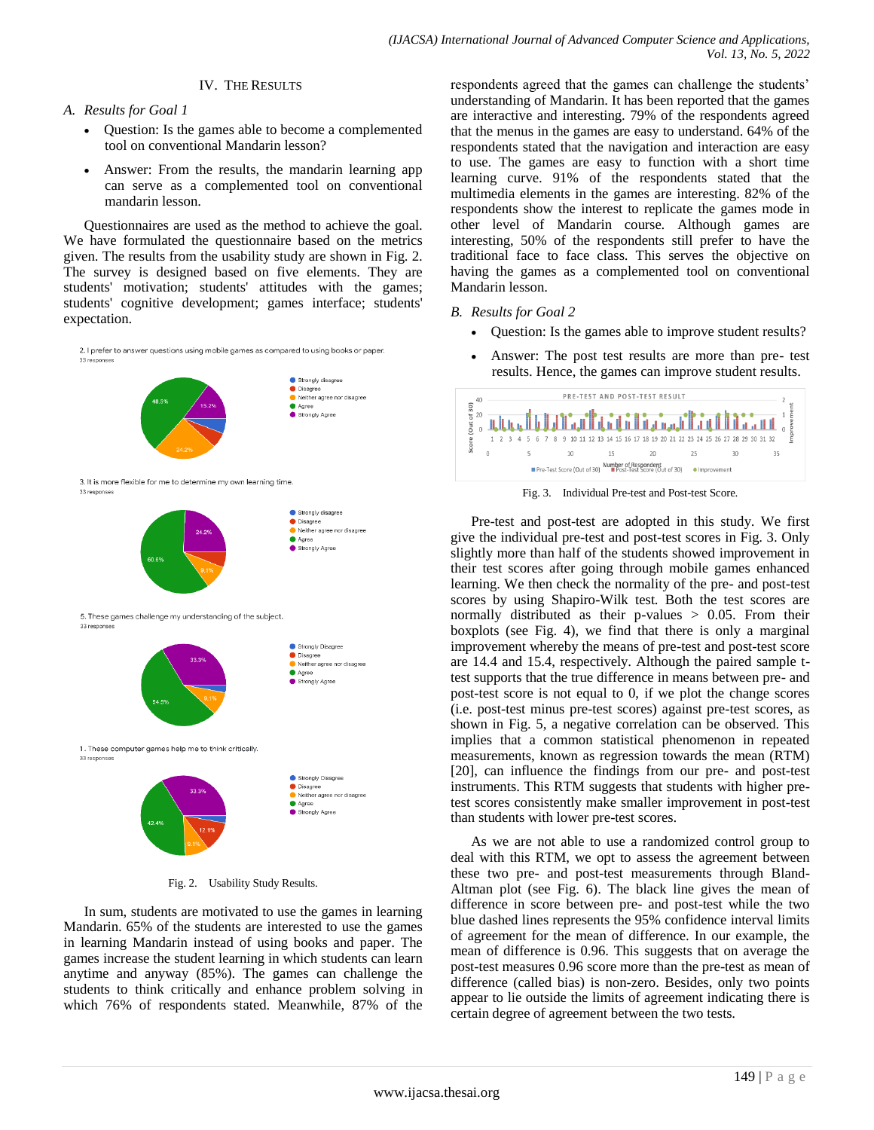## IV. THE RESULTS

## *A. Results for Goal 1*

- Question: Is the games able to become a complemented tool on conventional Mandarin lesson?
- Answer: From the results, the mandarin learning app can serve as a complemented tool on conventional mandarin lesson.

Questionnaires are used as the method to achieve the goal. We have formulated the questionnaire based on the metrics given. The results from the usability study are shown in Fig. 2. The survey is designed based on five elements. They are students' motivation; students' attitudes with the games; students' cognitive development; games interface; students' expectation.



Fig. 2. Usability Study Results.

In sum, students are motivated to use the games in learning Mandarin. 65% of the students are interested to use the games in learning Mandarin instead of using books and paper. The games increase the student learning in which students can learn anytime and anyway (85%). The games can challenge the students to think critically and enhance problem solving in which 76% of respondents stated. Meanwhile, 87% of the respondents agreed that the games can challenge the students' understanding of Mandarin. It has been reported that the games are interactive and interesting. 79% of the respondents agreed that the menus in the games are easy to understand. 64% of the respondents stated that the navigation and interaction are easy to use. The games are easy to function with a short time learning curve. 91% of the respondents stated that the multimedia elements in the games are interesting. 82% of the respondents show the interest to replicate the games mode in other level of Mandarin course. Although games are interesting, 50% of the respondents still prefer to have the traditional face to face class. This serves the objective on having the games as a complemented tool on conventional Mandarin lesson.

- *B. Results for Goal 2*
	- Question: Is the games able to improve student results?
	- Answer: The post test results are more than pre- test results. Hence, the games can improve student results.



Fig. 3. Individual Pre-test and Post-test Score.

Pre-test and post-test are adopted in this study. We first give the individual pre-test and post-test scores in Fig. 3. Only slightly more than half of the students showed improvement in their test scores after going through mobile games enhanced learning. We then check the normality of the pre- and post-test scores by using Shapiro-Wilk test. Both the test scores are normally distributed as their p-values > 0.05. From their boxplots (see Fig. 4), we find that there is only a marginal improvement whereby the means of pre-test and post-test score are 14.4 and 15.4, respectively. Although the paired sample ttest supports that the true difference in means between pre- and post-test score is not equal to 0, if we plot the change scores (i.e. post-test minus pre-test scores) against pre-test scores, as shown in Fig. 5, a negative correlation can be observed. This implies that a common statistical phenomenon in repeated measurements, known as regression towards the mean (RTM) [20], can influence the findings from our pre- and post-test instruments. This RTM suggests that students with higher pretest scores consistently make smaller improvement in post-test than students with lower pre-test scores.

As we are not able to use a randomized control group to deal with this RTM, we opt to assess the agreement between these two pre- and post-test measurements through Bland-Altman plot (see Fig. 6). The black line gives the mean of difference in score between pre- and post-test while the two blue dashed lines represents the 95% confidence interval limits of agreement for the mean of difference. In our example, the mean of difference is 0.96. This suggests that on average the post-test measures 0.96 score more than the pre-test as mean of difference (called bias) is non-zero. Besides, only two points appear to lie outside the limits of agreement indicating there is certain degree of agreement between the two tests.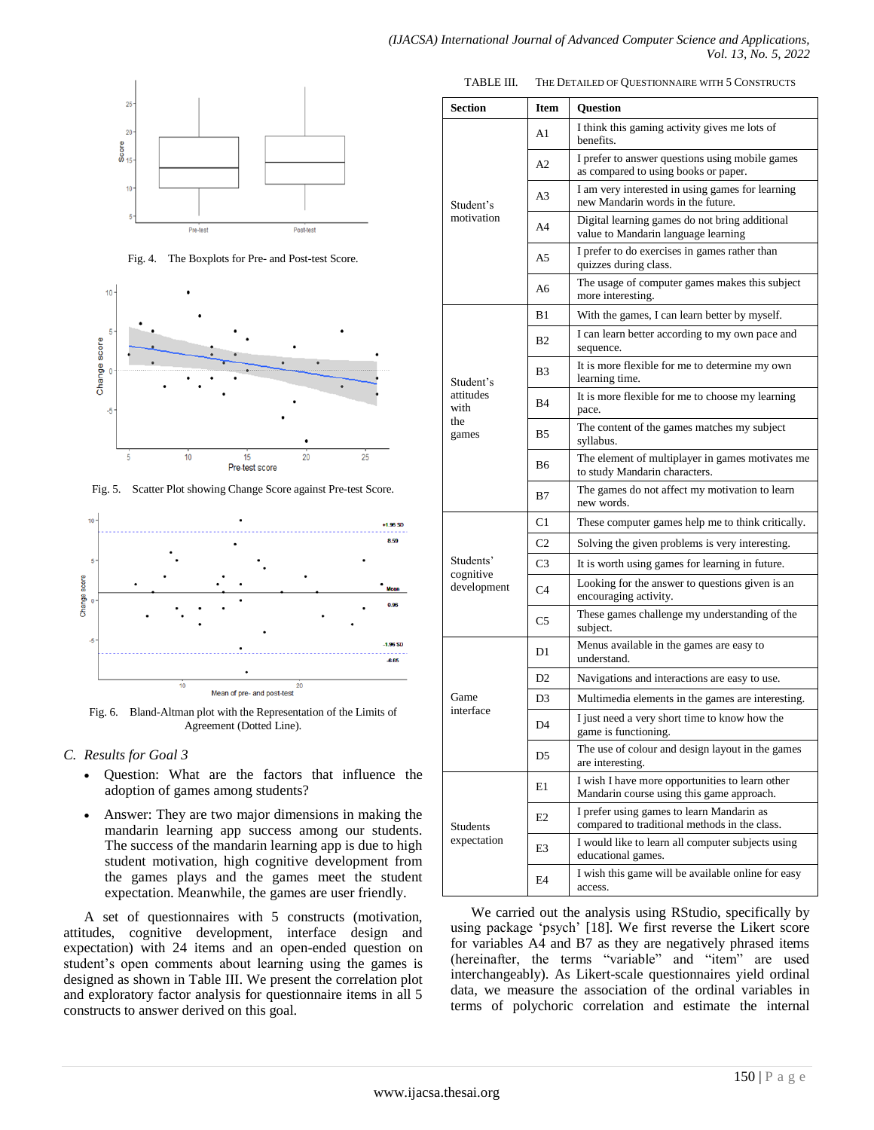#### *(IJACSA) International Journal of Advanced Computer Science and Applications, Vol. 13, No. 5, 2022*



Fig. 4. The Boxplots for Pre- and Post-test Score.



Fig. 5. Scatter Plot showing Change Score against Pre-test Score.



Fig. 6. Bland-Altman plot with the Representation of the Limits of Agreement (Dotted Line).

## *C. Results for Goal 3*

- Question: What are the factors that influence the adoption of games among students?
- Answer: They are two major dimensions in making the mandarin learning app success among our students. The success of the mandarin learning app is due to high student motivation, high cognitive development from the games plays and the games meet the student expectation. Meanwhile, the games are user friendly.

A set of questionnaires with 5 constructs (motivation, attitudes, cognitive development, interface design and expectation) with 24 items and an open-ended question on student"s open comments about learning using the games is designed as shown in Table III. We present the correlation plot and exploratory factor analysis for questionnaire items in all 5 constructs to answer derived on this goal.

| <b>Section</b>                                 | <b>Item</b>    | <b>Question</b>                                                                              |  |
|------------------------------------------------|----------------|----------------------------------------------------------------------------------------------|--|
| Student's<br>motivation                        | A1             | I think this gaming activity gives me lots of<br>benefits.                                   |  |
|                                                | A2             | I prefer to answer questions using mobile games<br>as compared to using books or paper.      |  |
|                                                | A3             | I am very interested in using games for learning<br>new Mandarin words in the future.        |  |
|                                                | A4             | Digital learning games do not bring additional<br>value to Mandarin language learning        |  |
|                                                | A5             | I prefer to do exercises in games rather than<br>quizzes during class.                       |  |
|                                                | A6             | The usage of computer games makes this subject<br>more interesting.                          |  |
| Student's<br>attitudes<br>with<br>the<br>games | B1             | With the games, I can learn better by myself.                                                |  |
|                                                | B <sub>2</sub> | I can learn better according to my own pace and<br>sequence.                                 |  |
|                                                | B <sub>3</sub> | It is more flexible for me to determine my own<br>learning time.                             |  |
|                                                | <b>B4</b>      | It is more flexible for me to choose my learning<br>pace.                                    |  |
|                                                | B <sub>5</sub> | The content of the games matches my subject<br>syllabus.                                     |  |
|                                                | <b>B</b> 6     | The element of multiplayer in games motivates me<br>to study Mandarin characters.            |  |
|                                                | B7             | The games do not affect my motivation to learn<br>new words.                                 |  |
| Students'<br>cognitive<br>development          | C <sub>1</sub> | These computer games help me to think critically.                                            |  |
|                                                | C <sub>2</sub> | Solving the given problems is very interesting.                                              |  |
|                                                | C <sub>3</sub> | It is worth using games for learning in future.                                              |  |
|                                                | C4             | Looking for the answer to questions given is an<br>encouraging activity.                     |  |
|                                                | C5             | These games challenge my understanding of the<br>subject.                                    |  |
| Game<br>interface                              | D1             | Menus available in the games are easy to<br>understand.                                      |  |
|                                                | D <sub>2</sub> | Navigations and interactions are easy to use.                                                |  |
|                                                | D <sub>3</sub> | Multimedia elements in the games are interesting.                                            |  |
|                                                | D4             | I just need a very short time to know how the<br>game is functioning.                        |  |
|                                                | D5             | The use of colour and design layout in the games<br>are interesting.                         |  |
| <b>Students</b><br>expectation                 | E1             | I wish I have more opportunities to learn other<br>Mandarin course using this game approach. |  |
|                                                | E <sub>2</sub> | I prefer using games to learn Mandarin as<br>compared to traditional methods in the class.   |  |
|                                                | E3             | I would like to learn all computer subjects using<br>educational games.                      |  |
|                                                | E4             | I wish this game will be available online for easy<br>access.                                |  |

We carried out the analysis using RStudio, specifically by using package "psych" [18]. We first reverse the Likert score for variables A4 and B7 as they are negatively phrased items (hereinafter, the terms "variable" and "item" are used interchangeably). As Likert-scale questionnaires yield ordinal data, we measure the association of the ordinal variables in terms of polychoric correlation and estimate the internal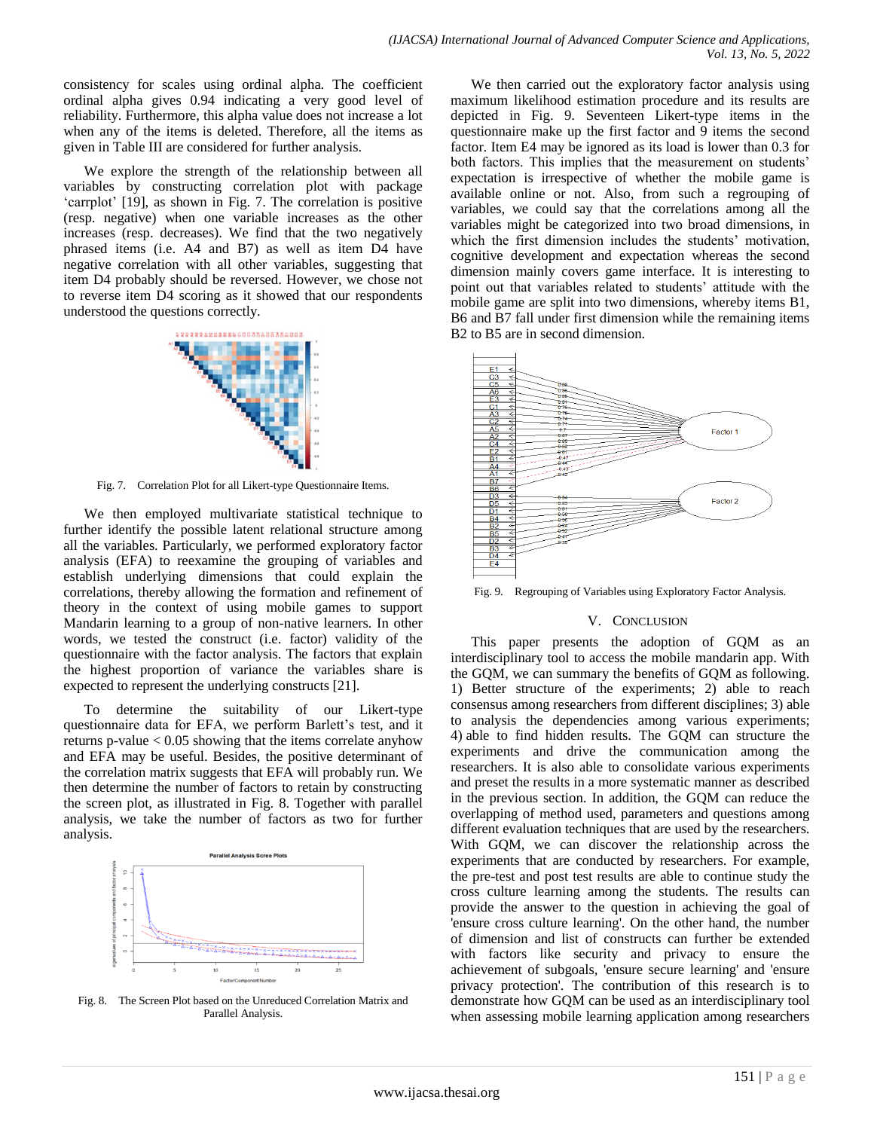consistency for scales using ordinal alpha. The coefficient ordinal alpha gives 0.94 indicating a very good level of reliability. Furthermore, this alpha value does not increase a lot when any of the items is deleted. Therefore, all the items as given in Table III are considered for further analysis.

We explore the strength of the relationship between all variables by constructing correlation plot with package 'carrplot' [19], as shown in Fig. 7. The correlation is positive (resp. negative) when one variable increases as the other increases (resp. decreases). We find that the two negatively phrased items (i.e. A4 and B7) as well as item D4 have negative correlation with all other variables, suggesting that item D4 probably should be reversed. However, we chose not to reverse item D4 scoring as it showed that our respondents understood the questions correctly.



Fig. 7. Correlation Plot for all Likert-type Questionnaire Items.

We then employed multivariate statistical technique to further identify the possible latent relational structure among all the variables. Particularly, we performed exploratory factor analysis (EFA) to reexamine the grouping of variables and establish underlying dimensions that could explain the correlations, thereby allowing the formation and refinement of theory in the context of using mobile games to support Mandarin learning to a group of non-native learners. In other words, we tested the construct (i.e. factor) validity of the questionnaire with the factor analysis. The factors that explain the highest proportion of variance the variables share is expected to represent the underlying constructs [21].

To determine the suitability of our Likert-type questionnaire data for EFA, we perform Barlett's test, and it returns p-value  $< 0.05$  showing that the items correlate anyhow and EFA may be useful. Besides, the positive determinant of the correlation matrix suggests that EFA will probably run. We then determine the number of factors to retain by constructing the screen plot, as illustrated in Fig. 8. Together with parallel analysis, we take the number of factors as two for further analysis.



Fig. 8. The Screen Plot based on the Unreduced Correlation Matrix and Parallel Analysis.

We then carried out the exploratory factor analysis using maximum likelihood estimation procedure and its results are depicted in Fig. 9. Seventeen Likert-type items in the questionnaire make up the first factor and 9 items the second factor. Item E4 may be ignored as its load is lower than 0.3 for both factors. This implies that the measurement on students' expectation is irrespective of whether the mobile game is available online or not. Also, from such a regrouping of variables, we could say that the correlations among all the variables might be categorized into two broad dimensions, in which the first dimension includes the students' motivation, cognitive development and expectation whereas the second dimension mainly covers game interface. It is interesting to point out that variables related to students' attitude with the mobile game are split into two dimensions, whereby items B1, B6 and B7 fall under first dimension while the remaining items B2 to B5 are in second dimension.



Fig. 9. Regrouping of Variables using Exploratory Factor Analysis.

#### V. CONCLUSION

This paper presents the adoption of GQM as an interdisciplinary tool to access the mobile mandarin app. With the GQM, we can summary the benefits of GQM as following. 1) Better structure of the experiments; 2) able to reach consensus among researchers from different disciplines; 3) able to analysis the dependencies among various experiments; 4) able to find hidden results. The GQM can structure the experiments and drive the communication among the researchers. It is also able to consolidate various experiments and preset the results in a more systematic manner as described in the previous section. In addition, the GQM can reduce the overlapping of method used, parameters and questions among different evaluation techniques that are used by the researchers. With GQM, we can discover the relationship across the experiments that are conducted by researchers. For example, the pre-test and post test results are able to continue study the cross culture learning among the students. The results can provide the answer to the question in achieving the goal of 'ensure cross culture learning'. On the other hand, the number of dimension and list of constructs can further be extended with factors like security and privacy to ensure the achievement of subgoals, 'ensure secure learning' and 'ensure privacy protection'. The contribution of this research is to demonstrate how GQM can be used as an interdisciplinary tool when assessing mobile learning application among researchers